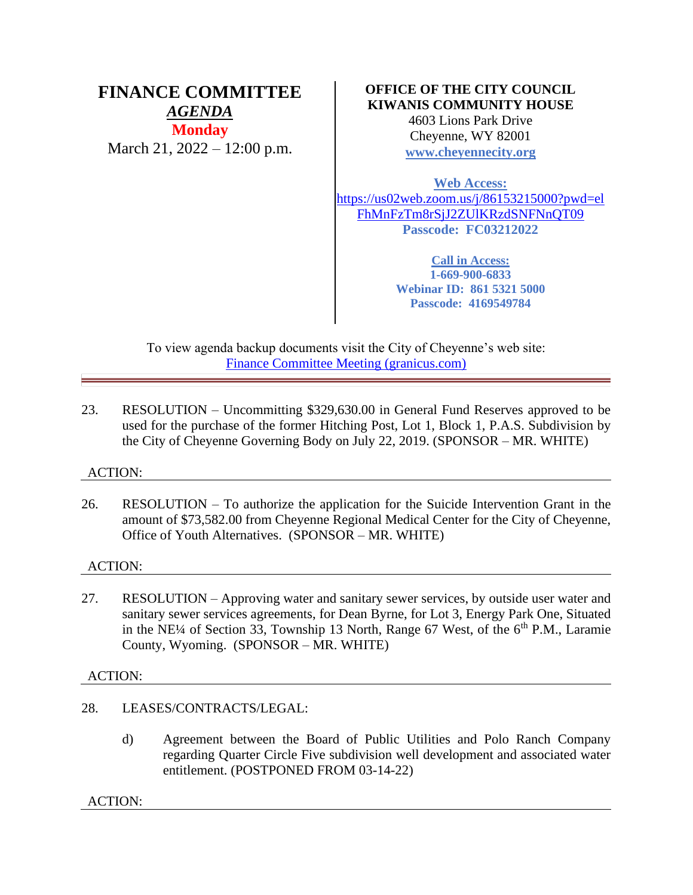### **FINANCE COMMITTEE** *AGENDA* **Monday** March 21, 2022 – 12:00 p.m.

### **OFFICE OF THE CITY COUNCIL KIWANIS COMMUNITY HOUSE**

4603 Lions Park Drive Cheyenne, WY 82001 **[www.cheyennecity.org](http://www.cheyennecity.org/)**

**Web Access:**

[https://us02web.zoom.us/j/86153215000?pwd=el](https://us02web.zoom.us/j/86153215000?pwd=elFhMnFzTm8rSjJ2ZUlKRzdSNFNnQT09) [FhMnFzTm8rSjJ2ZUlKRzdSNFNnQT09](https://us02web.zoom.us/j/86153215000?pwd=elFhMnFzTm8rSjJ2ZUlKRzdSNFNnQT09) **Passcode: FC03212022**

> **Call in Access: 1-669-900-6833 Webinar ID: 861 5321 5000 Passcode: 4169549784**

To view agenda backup documents visit the City of Cheyenne's web site: [Finance Committee Meeting \(granicus.com\)](https://cheyenne.granicus.com/GeneratedAgendaViewer.php?event_id=1058)

23. RESOLUTION – Uncommitting \$329,630.00 in General Fund Reserves approved to be used for the purchase of the former Hitching Post, Lot 1, Block 1, P.A.S. Subdivision by the City of Cheyenne Governing Body on July 22, 2019. (SPONSOR – MR. WHITE)

### ACTION:

26. RESOLUTION – To authorize the application for the Suicide Intervention Grant in the amount of \$73,582.00 from Cheyenne Regional Medical Center for the City of Cheyenne, Office of Youth Alternatives. (SPONSOR – MR. WHITE)

### ACTION:

27. RESOLUTION – Approving water and sanitary sewer services, by outside user water and sanitary sewer services agreements, for Dean Byrne, for Lot 3, Energy Park One, Situated in the NE¼ of Section 33, Township 13 North, Range 67 West, of the  $6<sup>th</sup>$  P.M., Laramie County, Wyoming. (SPONSOR – MR. WHITE)

### ACTION:

- 28. LEASES/CONTRACTS/LEGAL:
	- d) Agreement between the Board of Public Utilities and Polo Ranch Company regarding Quarter Circle Five subdivision well development and associated water entitlement. (POSTPONED FROM 03-14-22)

ACTION: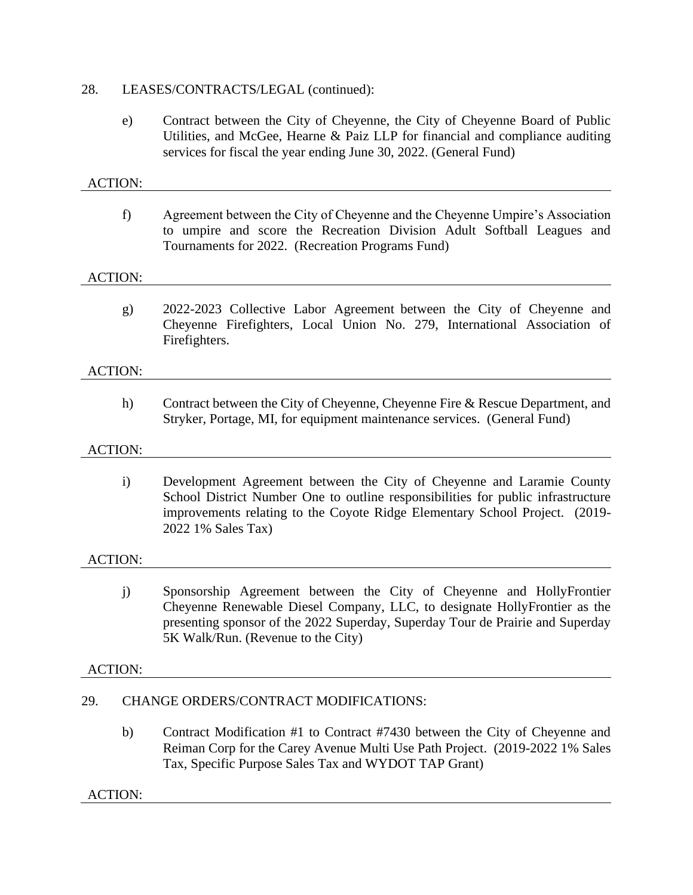### 28. LEASES/CONTRACTS/LEGAL (continued):

e) Contract between the City of Cheyenne, the City of Cheyenne Board of Public Utilities, and McGee, Hearne & Paiz LLP for financial and compliance auditing services for fiscal the year ending June 30, 2022. (General Fund)

## ACTION: f) Agreement between the City of Cheyenne and the Cheyenne Umpire's Association to umpire and score the Recreation Division Adult Softball Leagues and Tournaments for 2022. (Recreation Programs Fund) ACTION: g) 2022-2023 Collective Labor Agreement between the City of Cheyenne and Cheyenne Firefighters, Local Union No. 279, International Association of Firefighters. ACTION: h) Contract between the City of Cheyenne, Cheyenne Fire & Rescue Department, and Stryker, Portage, MI, for equipment maintenance services. (General Fund) ACTION: i) Development Agreement between the City of Cheyenne and Laramie County School District Number One to outline responsibilities for public infrastructure improvements relating to the Coyote Ridge Elementary School Project. (2019- 2022 1% Sales Tax) ACTION: j) Sponsorship Agreement between the City of Cheyenne and HollyFrontier Cheyenne Renewable Diesel Company, LLC, to designate HollyFrontier as the presenting sponsor of the 2022 Superday, Superday Tour de Prairie and Superday 5K Walk/Run. (Revenue to the City)

### ACTION:

### 29. CHANGE ORDERS/CONTRACT MODIFICATIONS:

b) Contract Modification #1 to Contract #7430 between the City of Cheyenne and Reiman Corp for the Carey Avenue Multi Use Path Project. (2019-2022 1% Sales Tax, Specific Purpose Sales Tax and WYDOT TAP Grant)

#### ACTION: